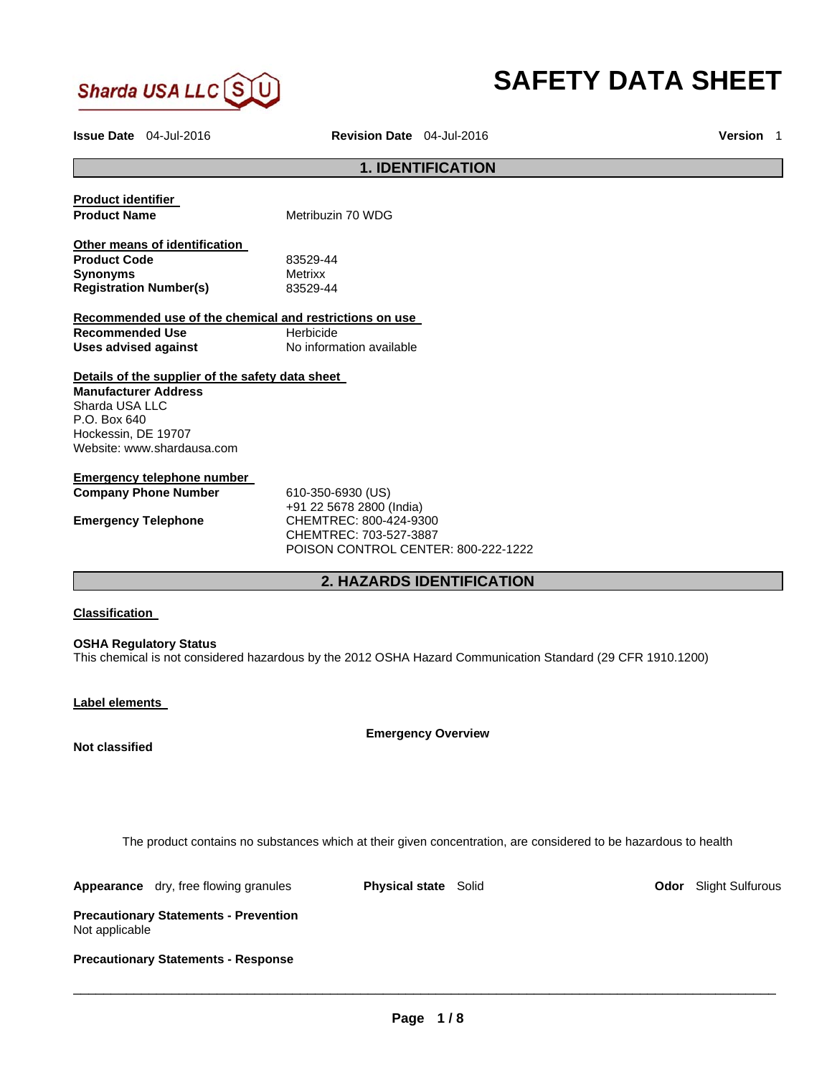

# **SAFETY DATA SHEET**

**Issue Date** 04-Jul-2016 **Revision Date** 04-Jul-2016 **Version** 1

# **1. IDENTIFICATION**

| <b>Product identifier</b><br><b>Product Name</b>        | Metribuzin 70 WDG                   |
|---------------------------------------------------------|-------------------------------------|
| Other means of identification                           |                                     |
| <b>Product Code</b>                                     | 83529-44                            |
| <b>Synonyms</b>                                         | <b>Metrixx</b>                      |
| <b>Registration Number(s)</b>                           | 83529-44                            |
| Recommended use of the chemical and restrictions on use |                                     |
| Recommended Use                                         | Herbicide                           |
| Uses advised against                                    | No information available            |
|                                                         |                                     |
| Details of the supplier of the safety data sheet        |                                     |
| <b>Manufacturer Address</b>                             |                                     |
| Sharda USA LLC                                          |                                     |
| $P.O.$ Box 640                                          |                                     |
| Hockessin, DE 19707                                     |                                     |
| Website: www.shardausa.com                              |                                     |
| Emergency telephone number                              |                                     |
| <b>Company Phone Number</b>                             | 610-350-6930 (US)                   |
|                                                         | +91 22 5678 2800 (India)            |
| <b>Emergency Telephone</b>                              | CHEMTREC: 800-424-9300              |
|                                                         | CHEMTREC: 703-527-3887              |
|                                                         | POISON CONTROL CENTER: 800-222-1222 |
|                                                         |                                     |

# **2. HAZARDS IDENTIFICATION**

# **Classification**

#### **OSHA Regulatory Status**

This chemical is not considered hazardous by the 2012 OSHA Hazard Communication Standard (29 CFR 1910.1200)

#### **Label elements**

**Not classified** 

**Emergency Overview** 

The product contains no substances which at their given concentration, are considered to be hazardous to health

|  |  | <b>Appearance</b> dry, free flowing granules |  |
|--|--|----------------------------------------------|--|
|--|--|----------------------------------------------|--|

**Physical state** Solid **Physical state Colid 1976** 

**Precautionary Statements - Prevention**  Not applicable

**Precautionary Statements - Response**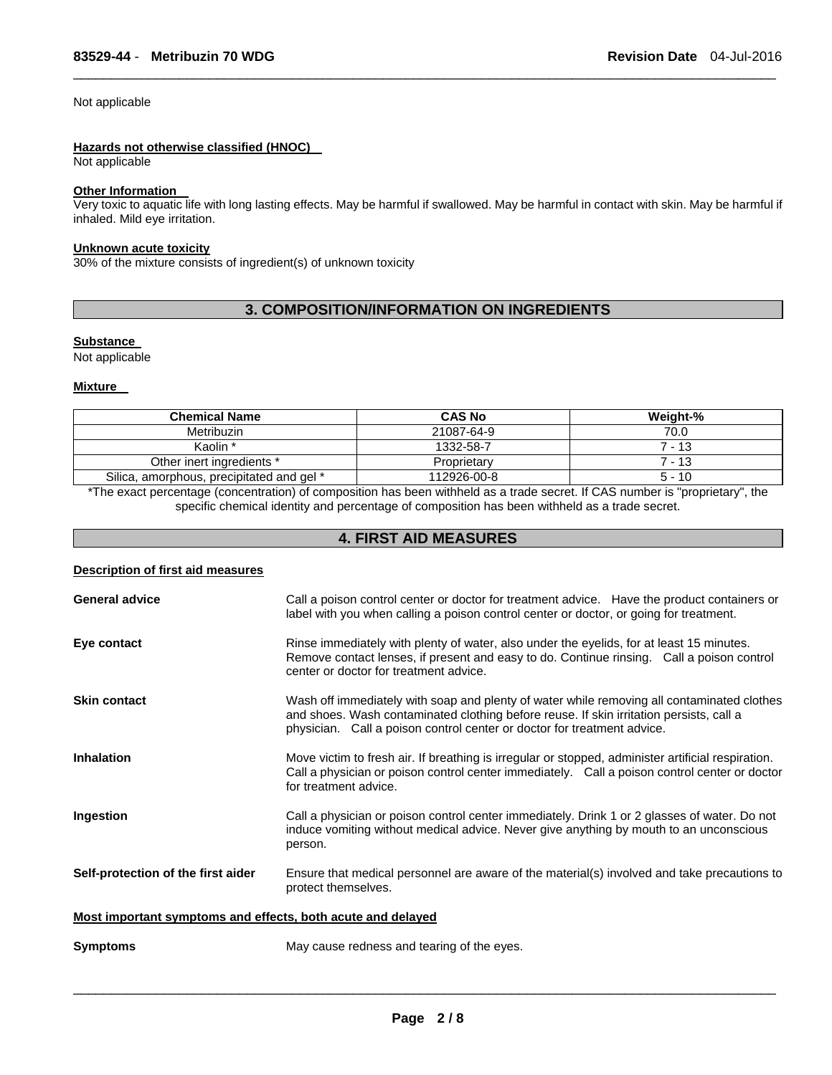# Not applicable

#### **Hazards not otherwise classified (HNOC)**

Not applicable

# **Other Information**

Very toxic to aquatic life with long lasting effects. May be harmful if swallowed. May be harmful in contact with skin. May be harmful if inhaled. Mild eye irritation.

 $\Box$ 

# **Unknown acute toxicity**

30% of the mixture consists of ingredient(s) of unknown toxicity

# **3. COMPOSITION/INFORMATION ON INGREDIENTS**

# **Substance**

Not applicable

#### **Mixture**

| <b>CAS No</b> | Weight-% |
|---------------|----------|
| 21087-64-9    | 70.0     |
| 1332-58-7     | 7 - 13   |
| Proprietary   | 7 - 13   |
| 112926-00-8   | $5 - 10$ |
|               |          |

\*The exact percentage (concentration) of composition has been withheld as a trade secret. If CAS number is "proprietary", the specific chemical identity and percentage of composition has been withheld as a trade secret.

# **4. FIRST AID MEASURES**

| <b>Description of first aid measures</b>                    |                                                                                                                                                                                                                                                                  |
|-------------------------------------------------------------|------------------------------------------------------------------------------------------------------------------------------------------------------------------------------------------------------------------------------------------------------------------|
| <b>General advice</b>                                       | Call a poison control center or doctor for treatment advice. Have the product containers or<br>label with you when calling a poison control center or doctor, or going for treatment.                                                                            |
| Eye contact                                                 | Rinse immediately with plenty of water, also under the eyelids, for at least 15 minutes.<br>Remove contact lenses, if present and easy to do. Continue rinsing. Call a poison control<br>center or doctor for treatment advice.                                  |
| <b>Skin contact</b>                                         | Wash off immediately with soap and plenty of water while removing all contaminated clothes<br>and shoes. Wash contaminated clothing before reuse. If skin irritation persists, call a<br>physician. Call a poison control center or doctor for treatment advice. |
| <b>Inhalation</b>                                           | Move victim to fresh air. If breathing is irregular or stopped, administer artificial respiration.<br>Call a physician or poison control center immediately. Call a poison control center or doctor<br>for treatment advice.                                     |
| Ingestion                                                   | Call a physician or poison control center immediately. Drink 1 or 2 glasses of water. Do not<br>induce vomiting without medical advice. Never give anything by mouth to an unconscious<br>person.                                                                |
| Self-protection of the first aider                          | Ensure that medical personnel are aware of the material(s) involved and take precautions to<br>protect themselves.                                                                                                                                               |
| Most important symptoms and effects, both acute and delayed |                                                                                                                                                                                                                                                                  |
| Symptoms                                                    | May cause redness and tearing of the eyes.                                                                                                                                                                                                                       |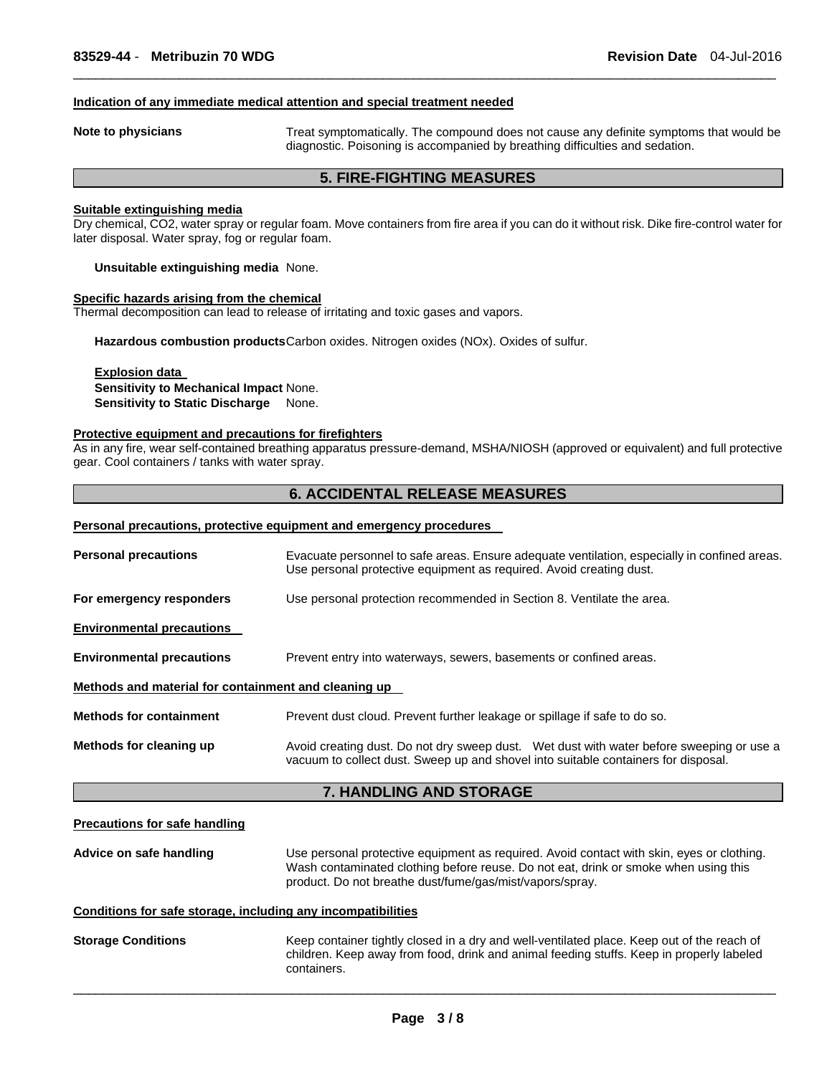#### **Indication of any immediate medical attention and special treatment needed**

**Note to physicians Treat symptomatically.** The compound does not cause any definite symptoms that would be diagnostic. Poisoning is accompanied by breathing difficulties and sedation.

# **5. FIRE-FIGHTING MEASURES**

 $\Box$ 

# **Suitable extinguishing media**

Dry chemical, CO2, water spray or regular foam. Move containers from fire area if you can do it without risk. Dike fire-control water for later disposal. Water spray, fog or regular foam.

**Unsuitable extinguishing media** None.

# **Specific hazards arising from the chemical**

Thermal decomposition can lead to release of irritating and toxic gases and vapors.

**Hazardous combustion products** Carbon oxides. Nitrogen oxides (NOx). Oxides of sulfur.

# **Explosion data Sensitivity to Mechanical Impact** None. **Sensitivity to Static Discharge** None.

#### **Protective equipment and precautions for firefighters**

As in any fire, wear self-contained breathing apparatus pressure-demand, MSHA/NIOSH (approved or equivalent) and full protective gear. Cool containers / tanks with water spray.

# **6. ACCIDENTAL RELEASE MEASURES**

#### **Personal precautions, protective equipment and emergency procedures**

| <b>Personal precautions</b>                          | Evacuate personnel to safe areas. Ensure adequate ventilation, especially in confined areas.<br>Use personal protective equipment as required. Avoid creating dust.                                                                          |  |  |
|------------------------------------------------------|----------------------------------------------------------------------------------------------------------------------------------------------------------------------------------------------------------------------------------------------|--|--|
| For emergency responders                             | Use personal protection recommended in Section 8. Ventilate the area.                                                                                                                                                                        |  |  |
| <b>Environmental precautions</b>                     |                                                                                                                                                                                                                                              |  |  |
| <b>Environmental precautions</b>                     | Prevent entry into waterways, sewers, basements or confined areas.                                                                                                                                                                           |  |  |
| Methods and material for containment and cleaning up |                                                                                                                                                                                                                                              |  |  |
| <b>Methods for containment</b>                       | Prevent dust cloud. Prevent further leakage or spillage if safe to do so.                                                                                                                                                                    |  |  |
| Methods for cleaning up                              | Avoid creating dust. Do not dry sweep dust. Wet dust with water before sweeping or use a<br>vacuum to collect dust. Sweep up and shovel into suitable containers for disposal.                                                               |  |  |
| <b>7. HANDLING AND STORAGE</b>                       |                                                                                                                                                                                                                                              |  |  |
| <b>Precautions for safe handling</b>                 |                                                                                                                                                                                                                                              |  |  |
| Advice on safe handling                              | Use personal protective equipment as required. Avoid contact with skin, eyes or clothing.<br>Wash contaminated clothing before reuse. Do not eat, drink or smoke when using this<br>product. Do not breathe dust/fume/gas/mist/vapors/spray. |  |  |

# **Conditions for safe storage, including any incompatibilities**

**Storage Conditions** Keep container tightly closed in a dry and well-ventilated place. Keep out of the reach of children. Keep away from food, drink and animal feeding stuffs. Keep in properly labeled containers.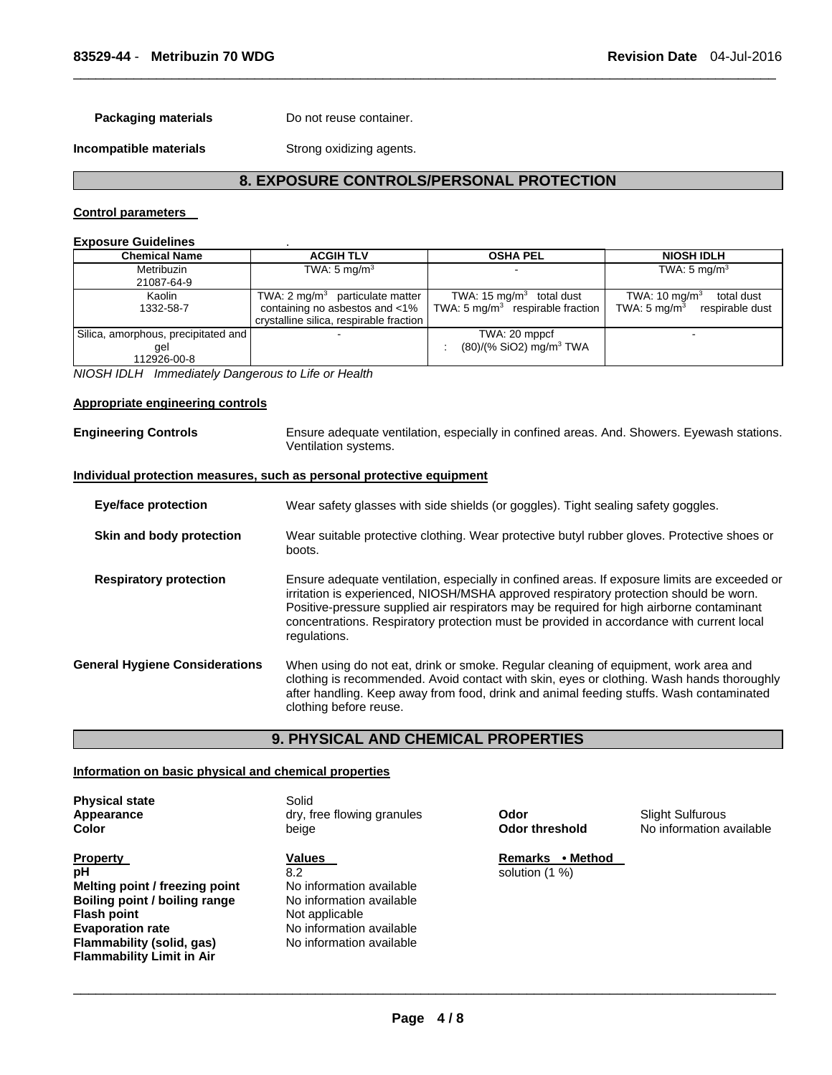**Packaging materials Do not reuse container.** 

**Incompatible materials Strong oxidizing agents.** 

# **8. EXPOSURE CONTROLS/PERSONAL PROTECTION**

 $\Box$ 

# **Control parameters**

# **Exposure Guidelines** .

| <b>Chemical Name</b>                                      | <b>ACGIH TLV</b>                                                                                                        | <b>OSHA PEL</b>                                                           | <b>NIOSH IDLH</b>                                                                    |  |
|-----------------------------------------------------------|-------------------------------------------------------------------------------------------------------------------------|---------------------------------------------------------------------------|--------------------------------------------------------------------------------------|--|
| Metribuzin<br>21087-64-9                                  | TWA: 5 mg/m <sup>3</sup>                                                                                                |                                                                           | TWA: $5 \text{ mg/m}^3$                                                              |  |
| Kaolin<br>1332-58-7                                       | TWA: $2 \text{ mq/m}^3$ particulate matter<br>containing no asbestos and <1%<br>crystalline silica, respirable fraction | TWA: 15 $mq/m3$ total dust<br>TWA: $5 \text{ mg/m}^3$ respirable fraction | TWA: $10 \text{ mg/m}^3$<br>total dust<br>TWA: $5 \text{ mg/m}^3$<br>respirable dust |  |
| Silica, amorphous, precipitated and<br>qel<br>112926-00-8 |                                                                                                                         | TWA: 20 mppcf<br>$(80)/(%$ SiO2) mg/m <sup>3</sup> TWA                    | -                                                                                    |  |

*NIOSH IDLH Immediately Dangerous to Life or Health* 

# **Appropriate engineering controls**

**Engineering Controls** Ensure adequate ventilation, especially in confined areas. And. Showers. Eyewash stations. Ventilation systems.

#### **Individual protection measures, such as personal protective equipment**

| Eye/face protection                   | Wear safety glasses with side shields (or goggles). Tight sealing safety goggles.                                                                                                                                                                                                                                                                                                              |  |  |
|---------------------------------------|------------------------------------------------------------------------------------------------------------------------------------------------------------------------------------------------------------------------------------------------------------------------------------------------------------------------------------------------------------------------------------------------|--|--|
| Skin and body protection              | Wear suitable protective clothing. Wear protective butyl rubber gloves. Protective shoes or<br>boots.                                                                                                                                                                                                                                                                                          |  |  |
| <b>Respiratory protection</b>         | Ensure adequate ventilation, especially in confined areas. If exposure limits are exceeded or<br>irritation is experienced, NIOSH/MSHA approved respiratory protection should be worn.<br>Positive-pressure supplied air respirators may be required for high airborne contaminant<br>concentrations. Respiratory protection must be provided in accordance with current local<br>regulations. |  |  |
| <b>General Hygiene Considerations</b> | When using do not eat, drink or smoke. Regular cleaning of equipment, work area and<br>clothing is recommended. Avoid contact with skin, eyes or clothing. Wash hands thoroughly<br>after handling. Keep away from food, drink and animal feeding stuffs. Wash contaminated<br>clothing before reuse.                                                                                          |  |  |

# **9. PHYSICAL AND CHEMICAL PROPERTIES**

# **Information on basic physical and chemical properties**

| <b>Physical state</b><br>Appearance<br>Color | Solid<br>dry, free flowing granules<br>beige | Odor<br><b>Odor threshold</b> |
|----------------------------------------------|----------------------------------------------|-------------------------------|
| <b>Property</b>                              | <b>Values</b>                                | <b>Remarks</b><br>• Method    |
| pH                                           | 8.2                                          | solution (1 %)                |
| Melting point / freezing point               | No information available                     |                               |
| Boiling point / boiling range                | No information available                     |                               |
| <b>Flash point</b>                           | Not applicable                               |                               |
| <b>Evaporation rate</b>                      | No information available                     |                               |
| Flammability (solid, gas)                    | No information available                     |                               |
| <b>Flammability Limit in Air</b>             |                                              |                               |

**A**<br>**Appendice Sulfurous**<br>**Apply** Mo information a **No information available**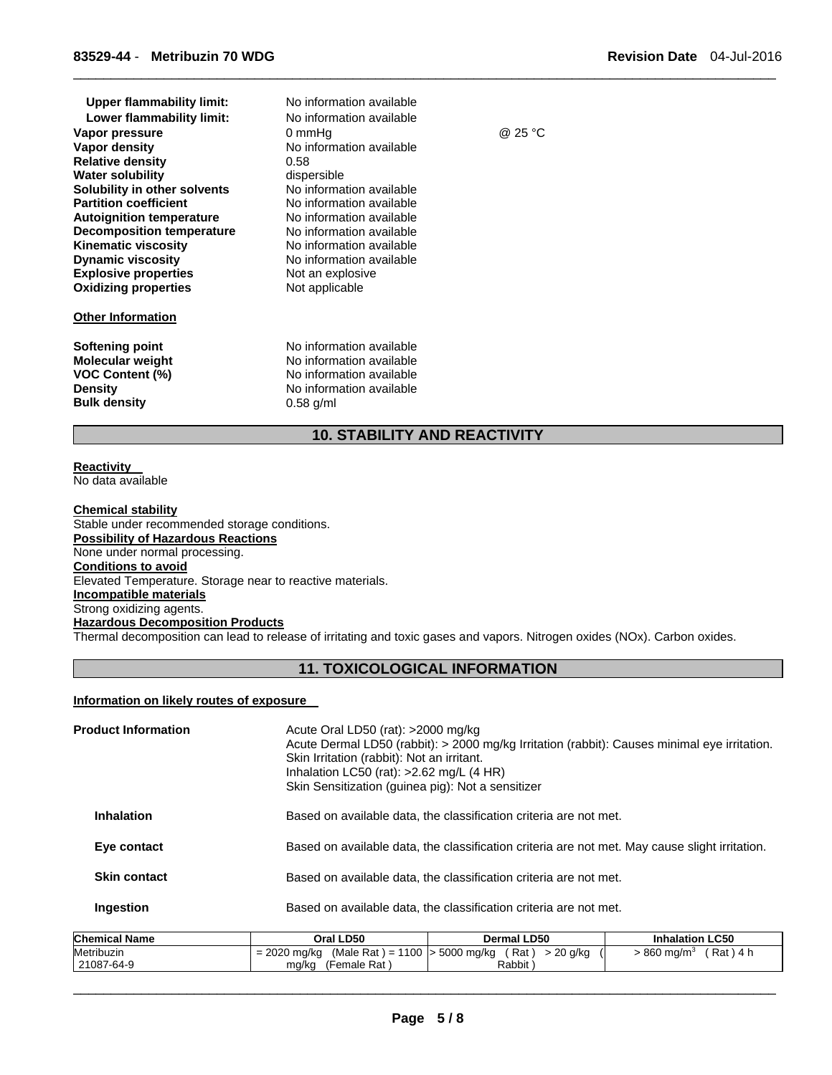| <b>Upper flammability limit:</b> | No information available |         |
|----------------------------------|--------------------------|---------|
| Lower flammability limit:        | No information available |         |
| Vapor pressure                   | 0 mmHq                   | @ 25 °C |
| Vapor density                    | No information available |         |
| <b>Relative density</b>          | 0.58                     |         |
| <b>Water solubility</b>          | dispersible              |         |
| Solubility in other solvents     | No information available |         |
| <b>Partition coefficient</b>     | No information available |         |
| <b>Autoignition temperature</b>  | No information available |         |
| <b>Decomposition temperature</b> | No information available |         |
| <b>Kinematic viscosity</b>       | No information available |         |
| <b>Dynamic viscosity</b>         | No information available |         |
| <b>Explosive properties</b>      | Not an explosive         |         |
| <b>Oxidizing properties</b>      | Not applicable           |         |
| <b>Other Information</b>         |                          |         |
| Softening point                  | No information available |         |
| <b>Molecular weight</b>          | No information available |         |
| <b>VOC Content (%)</b>           | No information available |         |
| <b>Density</b>                   | No information available |         |
| <b>Bulk density</b>              | $0.58$ g/ml              |         |
|                                  |                          |         |

# **10. STABILITY AND REACTIVITY**

 $\Box$ 

#### **Reactivity**  No data available

**Chemical stability**  Stable under recommended storage conditions. **Possibility of Hazardous Reactions**  None under normal processing. **Conditions to avoid**  Elevated Temperature. Storage near to reactive materials. **Incompatible materials**  Strong oxidizing agents. **Hazardous Decomposition Products**  Thermal decomposition can lead to release of irritating and toxic gases and vapors. Nitrogen oxides (NOx). Carbon oxides.

# **11. TOXICOLOGICAL INFORMATION**

# **Information on likely routes of exposure**

| <b>Product Information</b> | Acute Oral LD50 (rat): $>2000$ mg/kg<br>Acute Dermal LD50 (rabbit): > 2000 mg/kg Irritation (rabbit): Causes minimal eye irritation.<br>Skin Irritation (rabbit): Not an irritant.<br>Inhalation LC50 (rat): $>2.62$ mg/L (4 HR)<br>Skin Sensitization (guinea pig): Not a sensitizer |
|----------------------------|---------------------------------------------------------------------------------------------------------------------------------------------------------------------------------------------------------------------------------------------------------------------------------------|
| <b>Inhalation</b>          | Based on available data, the classification criteria are not met.                                                                                                                                                                                                                     |
| Eye contact                | Based on available data, the classification criteria are not met. May cause slight irritation.                                                                                                                                                                                        |
| <b>Skin contact</b>        | Based on available data, the classification criteria are not met.                                                                                                                                                                                                                     |
| Ingestion                  | Based on available data, the classification criteria are not met.                                                                                                                                                                                                                     |

| <b>Chemical Name</b> | Oral LD50                                          | <b>Dermal LD50</b>   | <b>Inhalation LC50</b>               |
|----------------------|----------------------------------------------------|----------------------|--------------------------------------|
| Metribuzin           | (Male Rat) = 1100   > 5000 mg/kg<br>$= 2020$ mg/kg | $> 20$ g/kg<br>Rat ) | ′ Rat ) 4 h<br>860 ma/m <sup>3</sup> |
| 21087-64-9           | (Female Rat)<br>mg/kg                              | Rabbit               |                                      |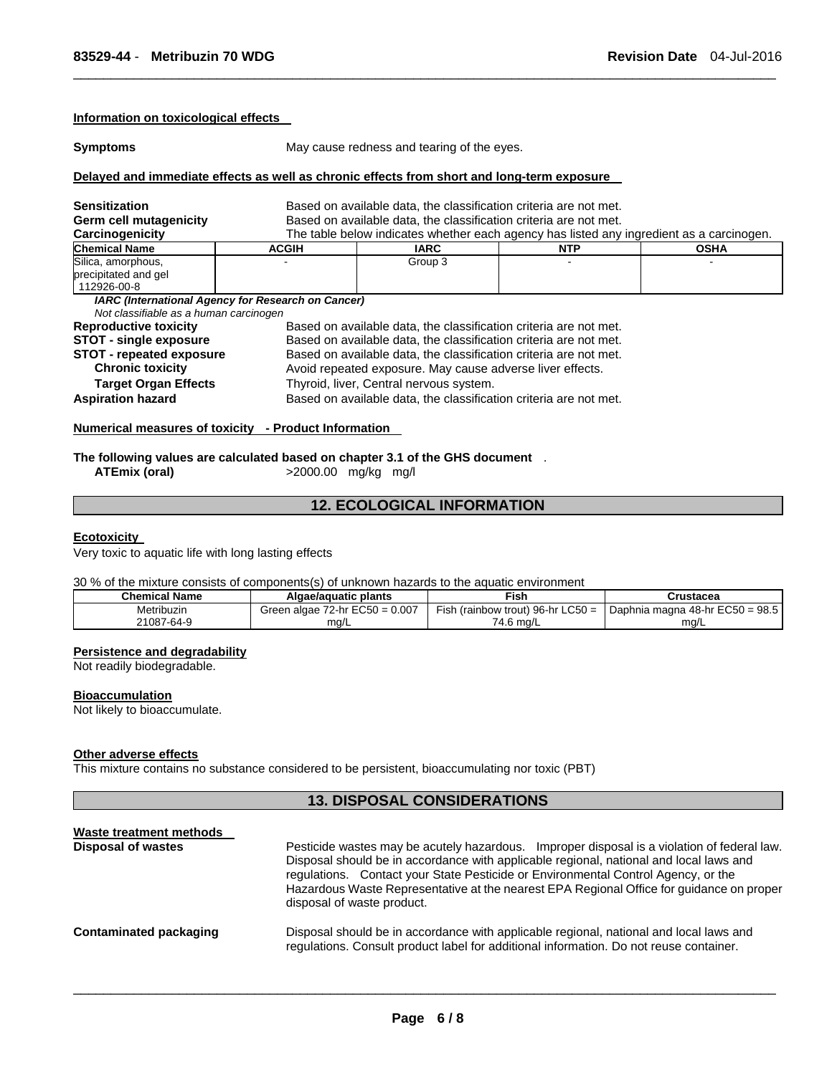#### **Information on toxicological effects**

**Symptoms May cause redness and tearing of the eyes.** 

 $\Box$ 

# **Delayed and immediate effects as well as chronic effects from short and long-term exposure**

| Sensitization                                                                                | Based on available data, the classification criteria are not met. |                                                                                          |            |             |  |  |
|----------------------------------------------------------------------------------------------|-------------------------------------------------------------------|------------------------------------------------------------------------------------------|------------|-------------|--|--|
| Germ cell mutagenicity                                                                       |                                                                   | Based on available data, the classification criteria are not met.                        |            |             |  |  |
| Carcinogenicity                                                                              |                                                                   | The table below indicates whether each agency has listed any ingredient as a carcinogen. |            |             |  |  |
| <b>Chemical Name</b>                                                                         | <b>ACGIH</b>                                                      | <b>IARC</b>                                                                              | <b>NTP</b> | <b>OSHA</b> |  |  |
| Silica, amorphous,<br>precipitated and gel<br>112926-00-8                                    |                                                                   | Group 3                                                                                  |            |             |  |  |
| IARC (International Agency for Research on Cancer)<br>Not classifiable as a human carcinogen |                                                                   |                                                                                          |            |             |  |  |
| <b>Reproductive toxicity</b>                                                                 |                                                                   | Based on available data, the classification criteria are not met.                        |            |             |  |  |
| <b>STOT - single exposure</b>                                                                |                                                                   | Based on available data, the classification criteria are not met.                        |            |             |  |  |
| <b>STOT - repeated exposure</b>                                                              |                                                                   | Based on available data, the classification criteria are not met.                        |            |             |  |  |
| <b>Chronic toxicity</b>                                                                      | Avoid repeated exposure. May cause adverse liver effects.         |                                                                                          |            |             |  |  |
| <b>Target Organ Effects</b>                                                                  | Thyroid, liver, Central nervous system.                           |                                                                                          |            |             |  |  |
| <b>Aspiration hazard</b>                                                                     |                                                                   | Based on available data, the classification criteria are not met.                        |            |             |  |  |

# **Numerical measures of toxicity - Product Information**

**The following values are calculated based on chapter 3.1 of the GHS document** .<br>ATEmix (oral)  $>2000.00$  mg/kg mg/l

**ATEmix (oral)** >2000.00 mg/kg mg/l

# **12. ECOLOGICAL INFORMATION**

# **Ecotoxicity**

Very toxic to aquatic life with long lasting effects

# 30 % of the mixture consists of components(s) of unknown hazards to the aquatic environment

| Chemical Name | Algae/aguatic plants                | ™ish                              | Crustacea                       |  |
|---------------|-------------------------------------|-----------------------------------|---------------------------------|--|
| Metribuzin    | Green algae $72$ -hr $EC50 = 0.007$ | Fish (rainbow trout) 96-hr LC50 = | Daphnia magna 48-hr EC50 = 98.5 |  |
| 21087-64-9    | ma/L                                | 74.6 ma/L                         | ma/L                            |  |

#### **Persistence and degradability**

Not readily biodegradable.

# **Bioaccumulation**

Not likely to bioaccumulate.

# **Other adverse effects**

This mixture contains no substance considered to be persistent, bioaccumulating nor toxic (PBT)

# **13. DISPOSAL CONSIDERATIONS**

| Waste treatment methods   |                                                                                                                                                                                                                                                                                                                                                                                                      |  |  |  |
|---------------------------|------------------------------------------------------------------------------------------------------------------------------------------------------------------------------------------------------------------------------------------------------------------------------------------------------------------------------------------------------------------------------------------------------|--|--|--|
| <b>Disposal of wastes</b> | Pesticide wastes may be acutely hazardous. Improper disposal is a violation of federal law.<br>Disposal should be in accordance with applicable regional, national and local laws and<br>regulations. Contact your State Pesticide or Environmental Control Agency, or the<br>Hazardous Waste Representative at the nearest EPA Regional Office for guidance on proper<br>disposal of waste product. |  |  |  |
| Contaminated packaging    | Disposal should be in accordance with applicable regional, national and local laws and<br>regulations. Consult product label for additional information. Do not reuse container.                                                                                                                                                                                                                     |  |  |  |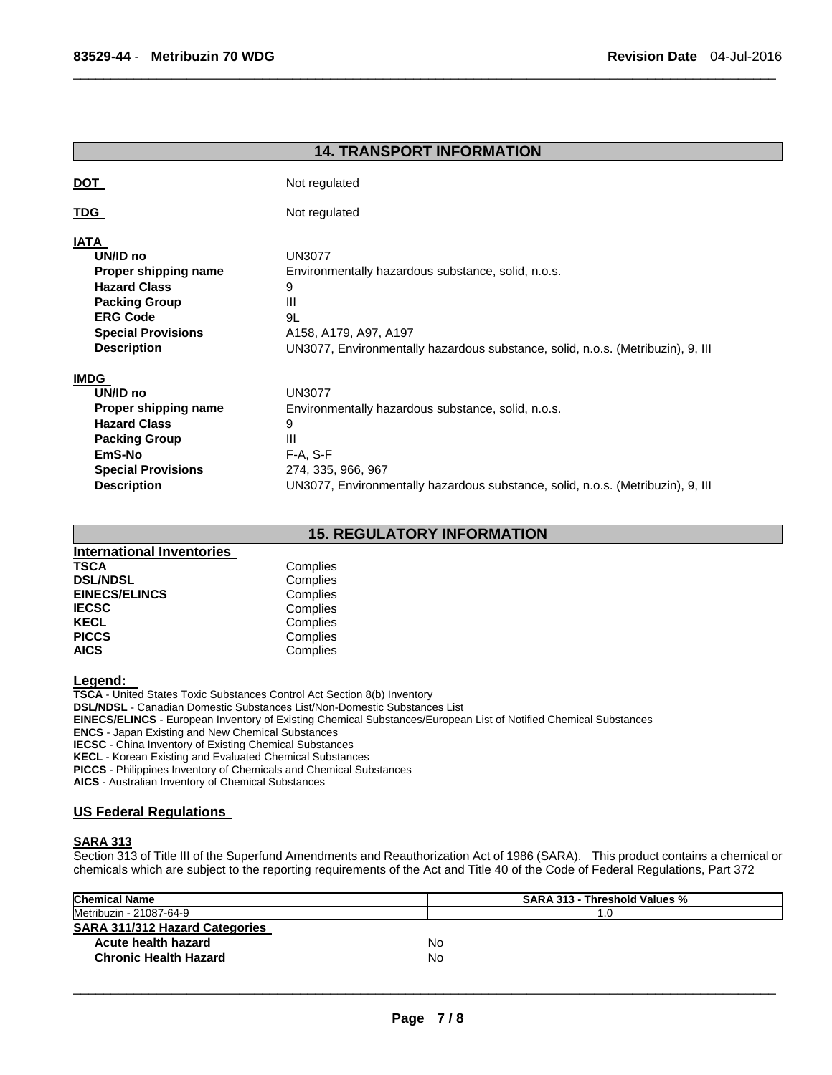|                                                                                                                                                             | <b>14. TRANSPORT INFORMATION</b>                                                                                                                                                                     |
|-------------------------------------------------------------------------------------------------------------------------------------------------------------|------------------------------------------------------------------------------------------------------------------------------------------------------------------------------------------------------|
| <u>DOT</u>                                                                                                                                                  | Not regulated                                                                                                                                                                                        |
| <u>TDG</u>                                                                                                                                                  | Not regulated                                                                                                                                                                                        |
| <b>IATA</b><br>UN/ID no<br>Proper shipping name<br><b>Hazard Class</b><br><b>Packing Group</b><br><b>ERG Code</b><br><b>Special Provisions</b>              | <b>UN3077</b><br>Environmentally hazardous substance, solid, n.o.s.<br>9<br>Ш<br>9L<br>A158, A179, A97, A197                                                                                         |
| <b>Description</b>                                                                                                                                          | UN3077, Environmentally hazardous substance, solid, n.o.s. (Metribuzin), 9, III                                                                                                                      |
| <b>IMDG</b><br>UN/ID no<br>Proper shipping name<br><b>Hazard Class</b><br><b>Packing Group</b><br>EmS-No<br><b>Special Provisions</b><br><b>Description</b> | <b>UN3077</b><br>Environmentally hazardous substance, solid, n.o.s.<br>9<br>Ш<br>$F-A, S-F$<br>274, 335, 966, 967<br>UN3077, Environmentally hazardous substance, solid, n.o.s. (Metribuzin), 9, III |

 $\Box$ 

# **15. REGULATORY INFORMATION**

| <b>International Inventories</b> |          |
|----------------------------------|----------|
| <b>TSCA</b>                      | Complies |
| <b>DSL/NDSL</b>                  | Complies |
| <b>EINECS/ELINCS</b>             | Complies |
| <b>IECSC</b>                     | Complies |
| <b>KECL</b>                      | Complies |
| <b>PICCS</b>                     | Complies |
| <b>AICS</b>                      | Complies |

**Legend: TSCA** - United States Toxic Substances Control Act Section 8(b) Inventory **DSL/NDSL** - Canadian Domestic Substances List/Non-Domestic Substances List **EINECS/ELINCS** - European Inventory of Existing Chemical Substances/European List of Notified Chemical Substances **ENCS** - Japan Existing and New Chemical Substances **IECSC** - China Inventory of Existing Chemical Substances **KECL** - Korean Existing and Evaluated Chemical Substances

**PICCS** - Philippines Inventory of Chemicals and Chemical Substances

**AICS** - Australian Inventory of Chemical Substances

# **US Federal Regulations**

# **SARA 313**

Section 313 of Title III of the Superfund Amendments and Reauthorization Act of 1986 (SARA). This product contains a chemical or chemicals which are subject to the reporting requirements of the Act and Title 40 of the Code of Federal Regulations, Part 372

| <b>Chemical Name</b>                  | SARA 313 - Threshold Values % |
|---------------------------------------|-------------------------------|
| Metribuzin - 21087-64-9               | .0                            |
| <b>SARA 311/312 Hazard Categories</b> |                               |
| Acute health hazard                   | No.                           |
| <b>Chronic Health Hazard</b>          | No                            |